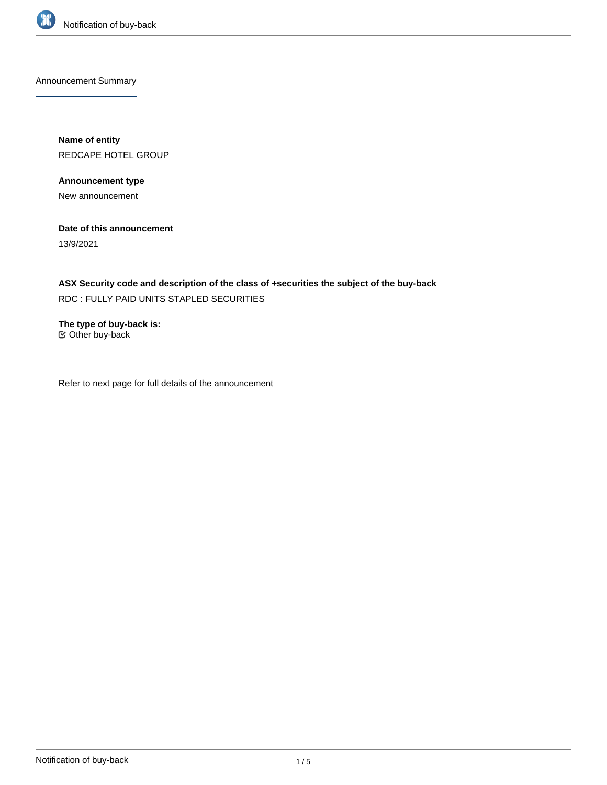

Announcement Summary

**Name of entity** REDCAPE HOTEL GROUP

**Announcement type**

New announcement

**Date of this announcement**

13/9/2021

**ASX Security code and description of the class of +securities the subject of the buy-back** RDC : FULLY PAID UNITS STAPLED SECURITIES

**The type of buy-back is:** Other buy-back

Refer to next page for full details of the announcement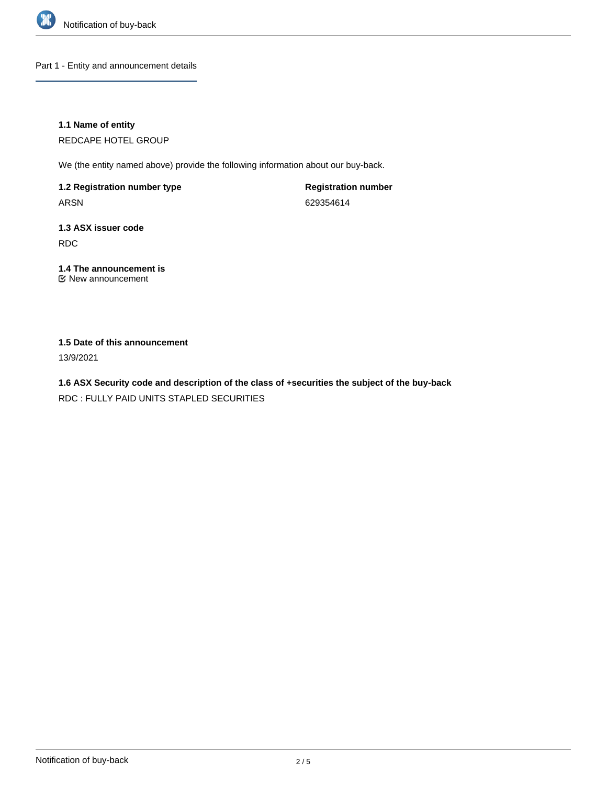

Part 1 - Entity and announcement details

**1.1 Name of entity**

REDCAPE HOTEL GROUP

We (the entity named above) provide the following information about our buy-back.

**1.2 Registration number type** ARSN

**Registration number** 629354614

**1.3 ASX issuer code** RDC

#### **1.4 The announcement is** New announcement

## **1.5 Date of this announcement**

13/9/2021

**1.6 ASX Security code and description of the class of +securities the subject of the buy-back** RDC : FULLY PAID UNITS STAPLED SECURITIES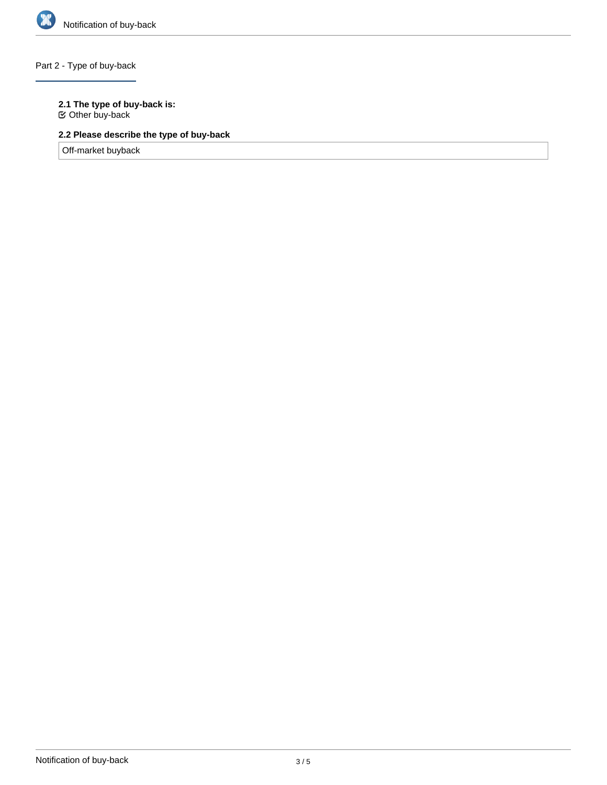

# Part 2 - Type of buy-back

## **2.1 The type of buy-back is:**

Other buy-back

# **2.2 Please describe the type of buy-back**

Off-market buyback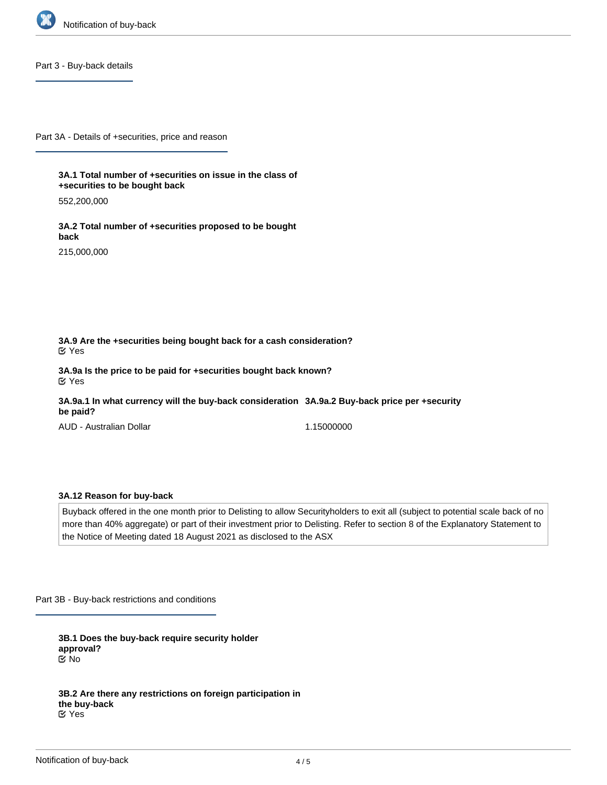

Part 3 - Buy-back details

Part 3A - Details of +securities, price and reason

**3A.1 Total number of +securities on issue in the class of +securities to be bought back**

552,200,000

**3A.2 Total number of +securities proposed to be bought back**

215,000,000

**3A.9 Are the +securities being bought back for a cash consideration?** Yes

**3A.9a Is the price to be paid for +securities bought back known?** Yes

**3A.9a.1 In what currency will the buy-back consideration 3A.9a.2 Buy-back price per +security be paid?**

AUD - Australian Dollar

1.15000000

#### **3A.12 Reason for buy-back**

Buyback offered in the one month prior to Delisting to allow Securityholders to exit all (subject to potential scale back of no more than 40% aggregate) or part of their investment prior to Delisting. Refer to section 8 of the Explanatory Statement to the Notice of Meeting dated 18 August 2021 as disclosed to the ASX

Part 3B - Buy-back restrictions and conditions

**3B.1 Does the buy-back require security holder approval?** No

**3B.2 Are there any restrictions on foreign participation in the buy-back** Yes